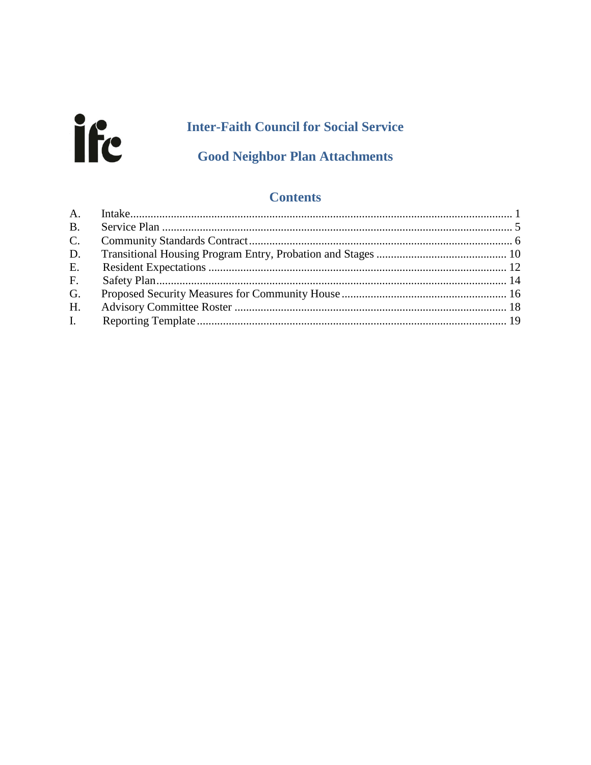# ife

# **Inter-Faith Council for Social Service**

# **Good Neighbor Plan Attachments**

### **Contents**

| I. |  |
|----|--|
|    |  |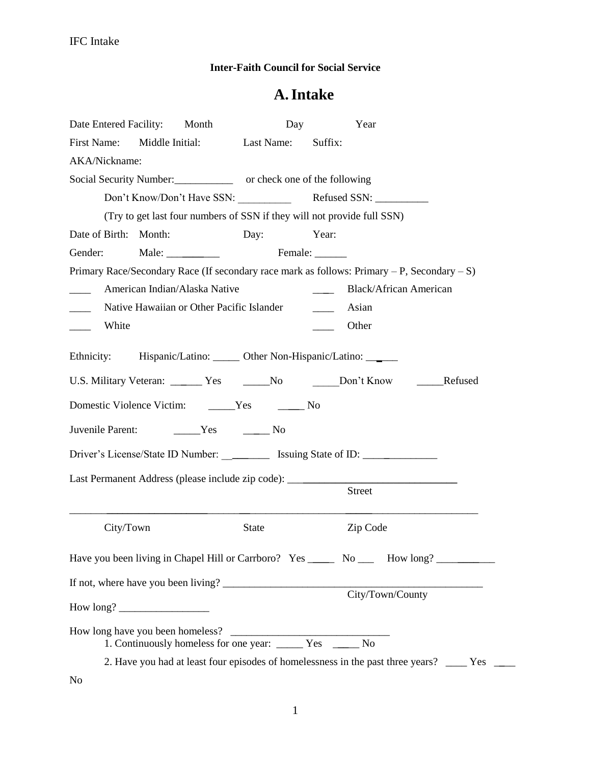#### **Inter-Faith Council for Social Service**

# **A.Intake**

<span id="page-1-0"></span>

| Date Entered Facility:                 | Month                                     | Day                                                                                       |               | Year                                                                                                 |
|----------------------------------------|-------------------------------------------|-------------------------------------------------------------------------------------------|---------------|------------------------------------------------------------------------------------------------------|
| First Name: Middle Initial: Last Name: |                                           |                                                                                           | Suffix:       |                                                                                                      |
| AKA/Nickname:                          |                                           |                                                                                           |               |                                                                                                      |
|                                        |                                           | Social Security Number:<br><u>core</u> or check one of the following                      |               |                                                                                                      |
|                                        |                                           |                                                                                           |               |                                                                                                      |
|                                        |                                           | (Try to get last four numbers of SSN if they will not provide full SSN)                   |               |                                                                                                      |
| Date of Birth: Month:                  |                                           | Day:                                                                                      | Year:         |                                                                                                      |
| Gender:                                |                                           | Male: Female:                                                                             |               |                                                                                                      |
|                                        |                                           |                                                                                           |               | Primary Race/Secondary Race (If secondary race mark as follows: Primary $-P$ , Secondary $-S$ )      |
| $\frac{1}{2}$                          | American Indian/Alaska Native             |                                                                                           | $\frac{1}{2}$ | <b>Black/African American</b>                                                                        |
|                                        | Native Hawaiian or Other Pacific Islander |                                                                                           | $\sim$ $-$    | Asian                                                                                                |
| White<br>$\mathbb{R}^n$                |                                           |                                                                                           |               | Other                                                                                                |
|                                        |                                           | Domestic Violence Victim: _______Yes ____________No                                       |               | U.S. Military Veteran: _______ Yes _______No _______Don't Know<br>______Refused                      |
| Juvenile Parent:                       | $Yes$ No                                  |                                                                                           |               |                                                                                                      |
|                                        |                                           |                                                                                           |               | Driver's License/State ID Number: ____________ Issuing State of ID: _____________                    |
|                                        |                                           |                                                                                           |               | Last Permanent Address (please include zip code): ______________________________<br>Street           |
| City/Town                              |                                           | <b>State</b>                                                                              |               | Zip Code                                                                                             |
|                                        |                                           |                                                                                           |               | Have you been living in Chapel Hill or Carrboro? Yes _______ No ______ How long? ___________________ |
|                                        |                                           |                                                                                           |               | If not, where have you been living? City/Town/County                                                 |
|                                        |                                           |                                                                                           |               |                                                                                                      |
| How long have you been homeless?       |                                           | mg have you been homeless?<br>1. Continuously homeless for one year: ______ Yes ______ No |               |                                                                                                      |
|                                        |                                           |                                                                                           |               | 2. Have you had at least four episodes of homelessness in the past three years? ____ Yes ____        |
| No                                     |                                           |                                                                                           |               |                                                                                                      |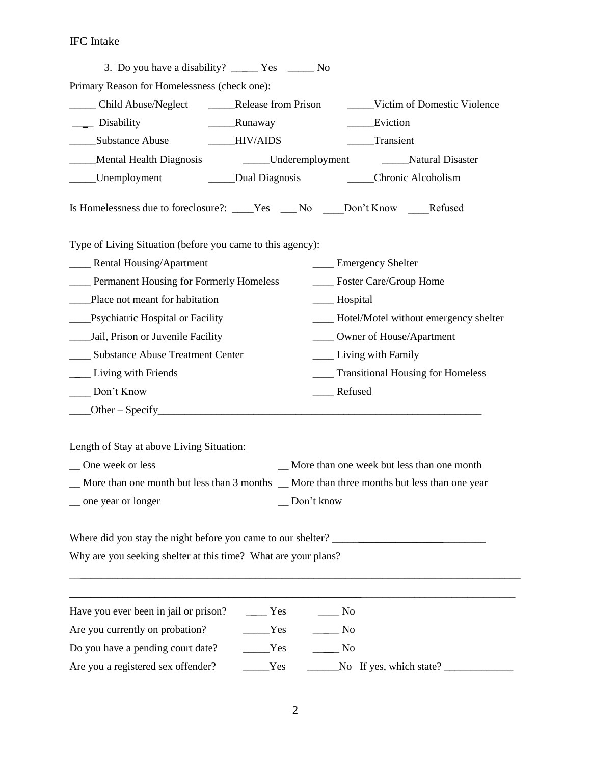## IFC Intake

| Primary Reason for Homelessness (check one):                                                |                           |                               |                                             |
|---------------------------------------------------------------------------------------------|---------------------------|-------------------------------|---------------------------------------------|
| Child Abuse/Neglect                                                                         | ______Release from Prison |                               | _____Victim of Domestic Violence            |
| ____ Disability                                                                             | ________Runaway           |                               | Eviction                                    |
| ______Substance Abuse                                                                       | IIIV/AIDS                 |                               | Transient                                   |
| Mental Health Diagnosis                                                                     | Underemployment           |                               | Natural Disaster                            |
| ______Unemployment                                                                          | _____Dual Diagnosis       |                               | ______Chronic Alcoholism                    |
| Is Homelessness due to foreclosure?: ____Yes ___No ___Don't Know ___Refused                 |                           |                               |                                             |
| Type of Living Situation (before you came to this agency):                                  |                           |                               |                                             |
| ____ Rental Housing/Apartment                                                               |                           | <b>Emergency Shelter</b>      |                                             |
| <b>EXECUTE:</b> Permanent Housing for Formerly Homeless                                     |                           | ____ Foster Care/Group Home   |                                             |
| Place not meant for habitation                                                              |                           | ____ Hospital                 |                                             |
| ____Psychiatric Hospital or Facility                                                        |                           |                               | ___ Hotel/Motel without emergency shelter   |
| ____Jail, Prison or Juvenile Facility                                                       |                           | ____ Owner of House/Apartment |                                             |
| _____ Substance Abuse Treatment Center                                                      |                           | ____ Living with Family       |                                             |
| <b>Living with Friends</b>                                                                  |                           |                               | ____ Transitional Housing for Homeless      |
| Don't Know                                                                                  |                           | Refused                       |                                             |
|                                                                                             |                           |                               |                                             |
| Length of Stay at above Living Situation:                                                   |                           |                               |                                             |
| _ One week or less                                                                          |                           |                               | _More than one week but less than one month |
| _More than one month but less than 3 months _ More than three months but less than one year |                           |                               |                                             |
| _ one year or longer                                                                        |                           | Don't know                    |                                             |
|                                                                                             |                           |                               |                                             |
| Where did you stay the night before you came to our shelter?                                |                           |                               |                                             |
| Why are you seeking shelter at this time? What are your plans?                              |                           |                               |                                             |
|                                                                                             |                           |                               |                                             |
| Have you ever been in jail or prison?                                                       | $\rule{1em}{0.15mm}$ Yes  | $\sqrt{N}$                    |                                             |
| Are you currently on probation?                                                             | Yes                       | N <sub>0</sub>                |                                             |
| Do you have a pending court date?                                                           | $\rule{1em}{0.15mm}$ Yes  | $\rule{1em}{0.15mm}$ No       |                                             |
| Are you a registered sex offender?                                                          | Yes                       |                               | No If yes, which state? $\_\_$              |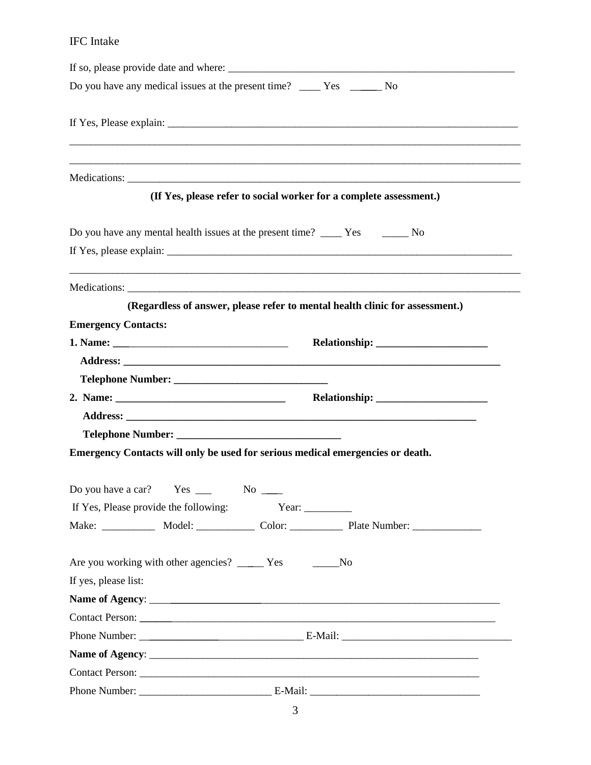## IFC Intake

| Do you have any medical issues at the present time? _____ Yes ______ No                                               |
|-----------------------------------------------------------------------------------------------------------------------|
|                                                                                                                       |
| <u> 1989 - Johann Barn, mars ann an t-Amhainn an t-Amhainn an t-Amhainn an t-Amhainn an t-Amhainn an t-Amhainn an</u> |
| (If Yes, please refer to social worker for a complete assessment.)                                                    |
| Do you have any mental health issues at the present time? ______ Yes _________ No                                     |
|                                                                                                                       |
| (Regardless of answer, please refer to mental health clinic for assessment.)                                          |
| <b>Emergency Contacts:</b>                                                                                            |
|                                                                                                                       |
|                                                                                                                       |
|                                                                                                                       |
|                                                                                                                       |
|                                                                                                                       |
|                                                                                                                       |
| Emergency Contacts will only be used for serious medical emergencies or death.                                        |
|                                                                                                                       |
| Do you have a car?<br>$Yes$ —<br>$No$ —                                                                               |
| If Yes, Please provide the following:<br>Year: $\_\_$                                                                 |
| Make: _____________ Model: ______________ Color: _______________ Plate Number: ____________________                   |
|                                                                                                                       |
| Are you working with other agencies? ______ Yes ________No                                                            |
| If yes, please list:                                                                                                  |
|                                                                                                                       |
|                                                                                                                       |
|                                                                                                                       |
|                                                                                                                       |
|                                                                                                                       |
|                                                                                                                       |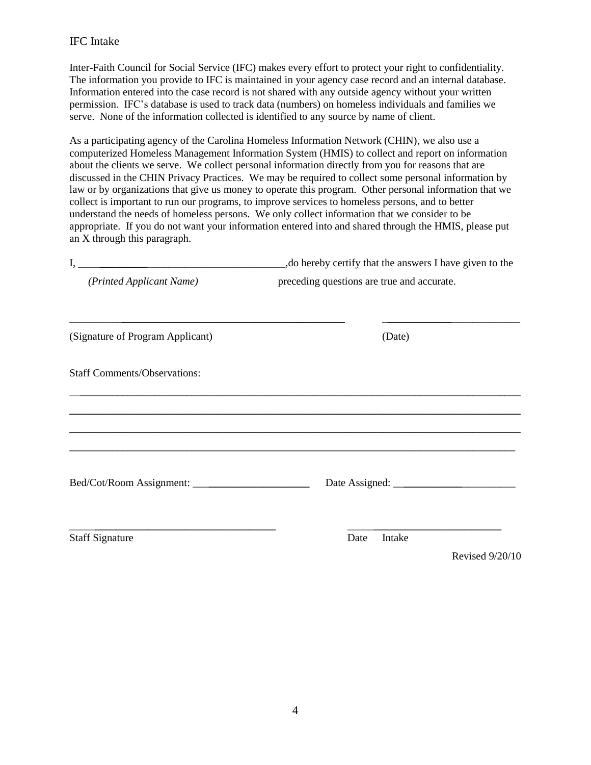#### IFC Intake

Inter-Faith Council for Social Service (IFC) makes every effort to protect your right to confidentiality. The information you provide to IFC is maintained in your agency case record and an internal database. Information entered into the case record is not shared with any outside agency without your written permission. IFC's database is used to track data (numbers) on homeless individuals and families we serve. None of the information collected is identified to any source by name of client.

As a participating agency of the Carolina Homeless Information Network (CHIN), we also use a computerized Homeless Management Information System (HMIS) to collect and report on information about the clients we serve. We collect personal information directly from you for reasons that are discussed in the CHIN Privacy Practices. We may be required to collect some personal information by law or by organizations that give us money to operate this program. Other personal information that we collect is important to run our programs, to improve services to homeless persons, and to better understand the needs of homeless persons. We only collect information that we consider to be appropriate. If you do not want your information entered into and shared through the HMIS, please put an X through this paragraph.

|                                     | , do hereby certify that the answers I have given to the |  |  |  |
|-------------------------------------|----------------------------------------------------------|--|--|--|
| (Printed Applicant Name)            | preceding questions are true and accurate.               |  |  |  |
| (Signature of Program Applicant)    | (Date)                                                   |  |  |  |
| <b>Staff Comments/Observations:</b> |                                                          |  |  |  |
|                                     |                                                          |  |  |  |
|                                     |                                                          |  |  |  |
|                                     |                                                          |  |  |  |
| <b>Staff Signature</b>              | Intake<br>Date                                           |  |  |  |
|                                     | Revised 9/20/10                                          |  |  |  |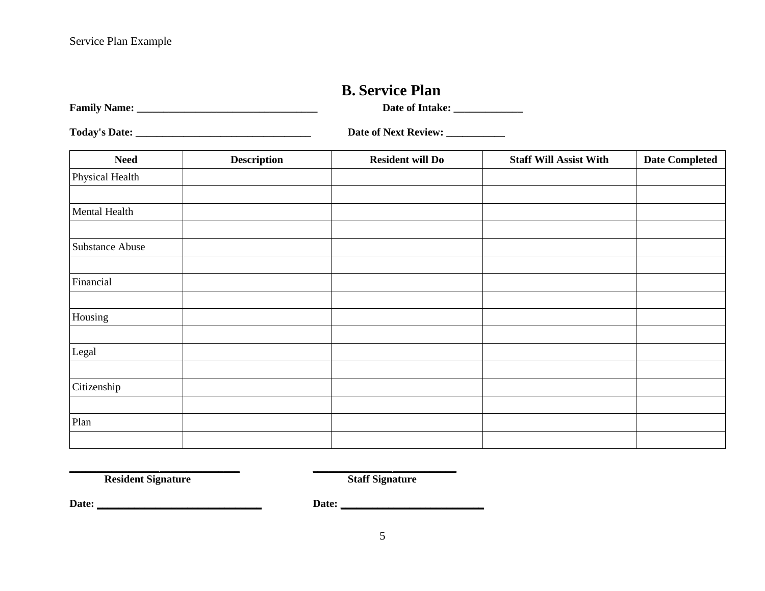## **B. Service Plan**

**Family Name: \_\_\_\_\_\_\_\_\_\_\_\_\_\_\_\_\_\_\_\_\_\_\_\_\_\_\_\_\_\_\_\_\_\_ Date of Intake: \_\_\_\_\_\_\_\_\_\_\_\_\_**

**Today's Date: \_\_\_\_\_\_\_\_\_\_\_\_\_\_\_\_\_\_\_\_\_\_\_\_\_\_\_\_\_\_\_\_\_ Date of Next Review: \_\_\_\_\_\_\_\_\_\_\_**

<span id="page-5-0"></span>

| <b>Need</b>            | <b>Description</b> | <b>Resident will Do</b> | <b>Staff Will Assist With</b> | <b>Date Completed</b> |
|------------------------|--------------------|-------------------------|-------------------------------|-----------------------|
| Physical Health        |                    |                         |                               |                       |
|                        |                    |                         |                               |                       |
| Mental Health          |                    |                         |                               |                       |
|                        |                    |                         |                               |                       |
| <b>Substance Abuse</b> |                    |                         |                               |                       |
|                        |                    |                         |                               |                       |
| Financial              |                    |                         |                               |                       |
|                        |                    |                         |                               |                       |
| Housing                |                    |                         |                               |                       |
|                        |                    |                         |                               |                       |
| Legal                  |                    |                         |                               |                       |
|                        |                    |                         |                               |                       |
| Citizenship            |                    |                         |                               |                       |
|                        |                    |                         |                               |                       |
| Plan                   |                    |                         |                               |                       |
|                        |                    |                         |                               |                       |

**Resident Signature Staff Signature** 

**Date: \_\_\_\_\_\_\_\_\_\_\_\_\_\_\_\_\_\_\_\_\_\_\_\_\_\_\_\_\_\_\_ Date: \_\_\_\_\_\_\_\_\_\_\_\_\_\_\_\_\_\_\_\_\_\_\_\_\_\_\_**

**\_\_\_\_\_\_\_\_***\_\_\_\_\_\_\_\_\_***\_\_\_\_\_\_\_\_\_\_\_\_\_\_\_ \_***\_\_\_\_\_\_\_\_\_\_\_\_\_\_***\_\_\_\_\_\_\_\_\_\_\_\_**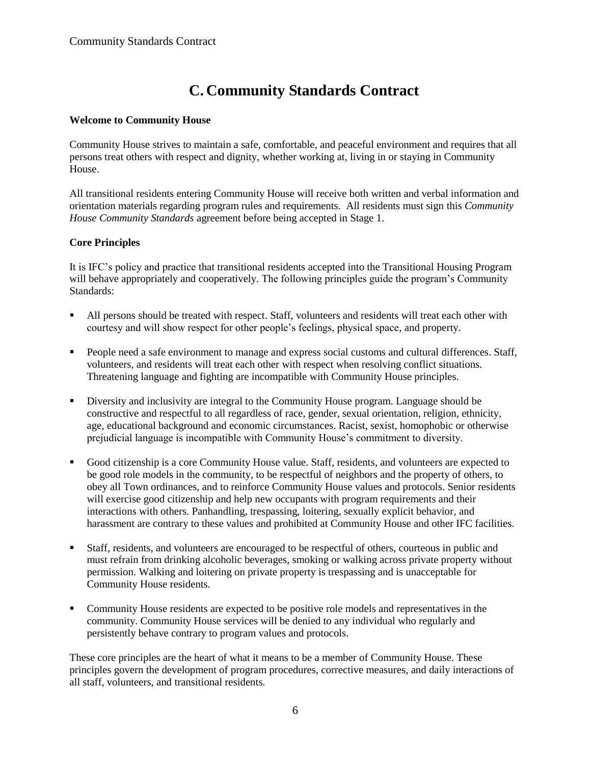# **C. Community Standards Contract**

#### <span id="page-6-0"></span>**Welcome to Community House**

Community House strives to maintain a safe, comfortable, and peaceful environment and requires that all persons treat others with respect and dignity, whether working at, living in or staying in Community House.

All transitional residents entering Community House will receive both written and verbal information and orientation materials regarding program rules and requirements. All residents must sign this *Community House Community Standards* agreement before being accepted in Stage 1.

#### **Core Principles**

It is IFC's policy and practice that transitional residents accepted into the Transitional Housing Program will behave appropriately and cooperatively. The following principles guide the program's Community Standards:

- All persons should be treated with respect. Staff, volunteers and residents will treat each other with courtesy and will show respect for other people's feelings, physical space, and property.
- People need a safe environment to manage and express social customs and cultural differences. Staff, volunteers, and residents will treat each other with respect when resolving conflict situations. Threatening language and fighting are incompatible with Community House principles.
- Diversity and inclusivity are integral to the Community House program. Language should be constructive and respectful to all regardless of race, gender, sexual orientation, religion, ethnicity, age, educational background and economic circumstances. Racist, sexist, homophobic or otherwise prejudicial language is incompatible with Community House's commitment to diversity.
- Good citizenship is a core Community House value. Staff, residents, and volunteers are expected to be good role models in the community, to be respectful of neighbors and the property of others, to obey all Town ordinances, and to reinforce Community House values and protocols. Senior residents will exercise good citizenship and help new occupants with program requirements and their interactions with others. Panhandling, trespassing, loitering, sexually explicit behavior, and harassment are contrary to these values and prohibited at Community House and other IFC facilities.
- Staff, residents, and volunteers are encouraged to be respectful of others, courteous in public and must refrain from drinking alcoholic beverages, smoking or walking across private property without permission. Walking and loitering on private property is trespassing and is unacceptable for Community House residents.
- Community House residents are expected to be positive role models and representatives in the community. Community House services will be denied to any individual who regularly and persistently behave contrary to program values and protocols.

These core principles are the heart of what it means to be a member of Community House. These principles govern the development of program procedures, corrective measures, and daily interactions of all staff, volunteers, and transitional residents.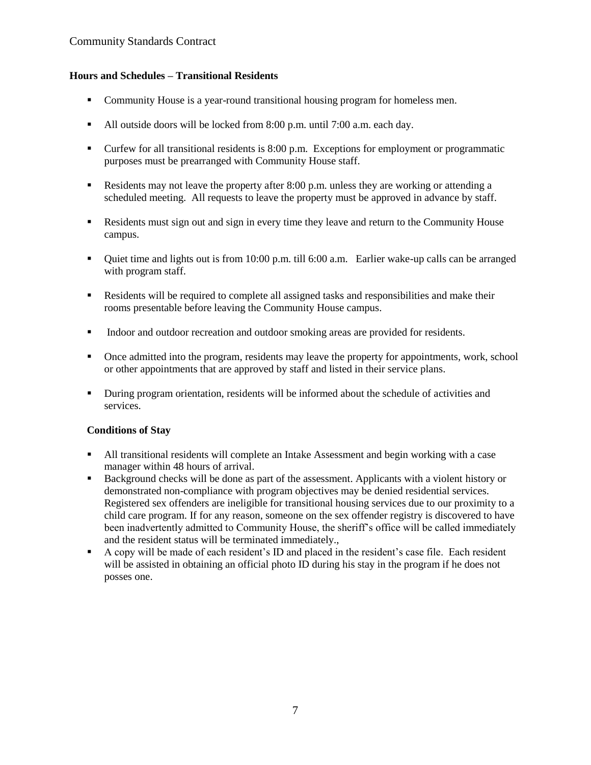#### **Hours and Schedules – Transitional Residents**

- Community House is a year-round transitional housing program for homeless men.
- All outside doors will be locked from 8:00 p.m. until 7:00 a.m. each day.
- Curfew for all transitional residents is 8:00 p.m. Exceptions for employment or programmatic purposes must be prearranged with Community House staff.
- Residents may not leave the property after 8:00 p.m. unless they are working or attending a scheduled meeting. All requests to leave the property must be approved in advance by staff.
- Residents must sign out and sign in every time they leave and return to the Community House campus.
- Quiet time and lights out is from 10:00 p.m. till 6:00 a.m. Earlier wake-up calls can be arranged with program staff.
- Residents will be required to complete all assigned tasks and responsibilities and make their rooms presentable before leaving the Community House campus.
- Indoor and outdoor recreation and outdoor smoking areas are provided for residents.
- Once admitted into the program, residents may leave the property for appointments, work, school or other appointments that are approved by staff and listed in their service plans.
- **•** During program orientation, residents will be informed about the schedule of activities and services.

#### **Conditions of Stay**

- All transitional residents will complete an Intake Assessment and begin working with a case manager within 48 hours of arrival.
- Background checks will be done as part of the assessment. Applicants with a violent history or demonstrated non-compliance with program objectives may be denied residential services. Registered sex offenders are ineligible for transitional housing services due to our proximity to a child care program. If for any reason, someone on the sex offender registry is discovered to have been inadvertently admitted to Community House, the sheriff's office will be called immediately and the resident status will be terminated immediately.,
- A copy will be made of each resident's ID and placed in the resident's case file. Each resident will be assisted in obtaining an official photo ID during his stay in the program if he does not posses one.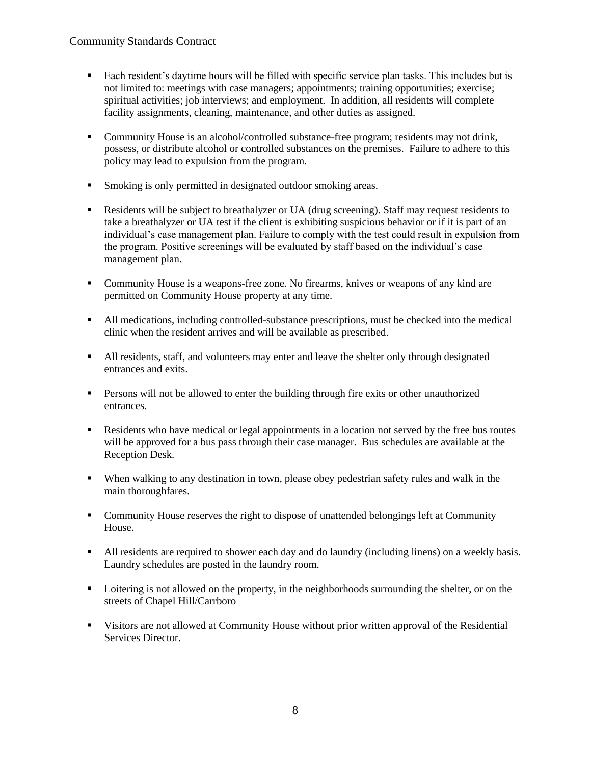- Each resident's daytime hours will be filled with specific service plan tasks. This includes but is not limited to: meetings with case managers; appointments; training opportunities; exercise; spiritual activities; job interviews; and employment. In addition, all residents will complete facility assignments, cleaning, maintenance, and other duties as assigned.
- Community House is an alcohol/controlled substance-free program; residents may not drink, possess, or distribute alcohol or controlled substances on the premises. Failure to adhere to this policy may lead to expulsion from the program.
- Smoking is only permitted in designated outdoor smoking areas.
- Residents will be subject to breathalyzer or UA (drug screening). Staff may request residents to take a breathalyzer or UA test if the client is exhibiting suspicious behavior or if it is part of an individual's case management plan. Failure to comply with the test could result in expulsion from the program. Positive screenings will be evaluated by staff based on the individual's case management plan.
- Community House is a weapons-free zone. No firearms, knives or weapons of any kind are permitted on Community House property at any time.
- All medications, including controlled-substance prescriptions, must be checked into the medical clinic when the resident arrives and will be available as prescribed.
- In All residents, staff, and volunteers may enter and leave the shelter only through designated entrances and exits.
- **Persons will not be allowed to enter the building through fire exits or other unauthorized** entrances.
- Residents who have medical or legal appointments in a location not served by the free bus routes will be approved for a bus pass through their case manager. Bus schedules are available at the Reception Desk.
- When walking to any destination in town, please obey pedestrian safety rules and walk in the main thoroughfares.
- Community House reserves the right to dispose of unattended belongings left at Community House.
- All residents are required to shower each day and do laundry (including linens) on a weekly basis. Laundry schedules are posted in the laundry room.
- **•** Loitering is not allowed on the property, in the neighborhoods surrounding the shelter, or on the streets of Chapel Hill/Carrboro
- Visitors are not allowed at Community House without prior written approval of the Residential Services Director.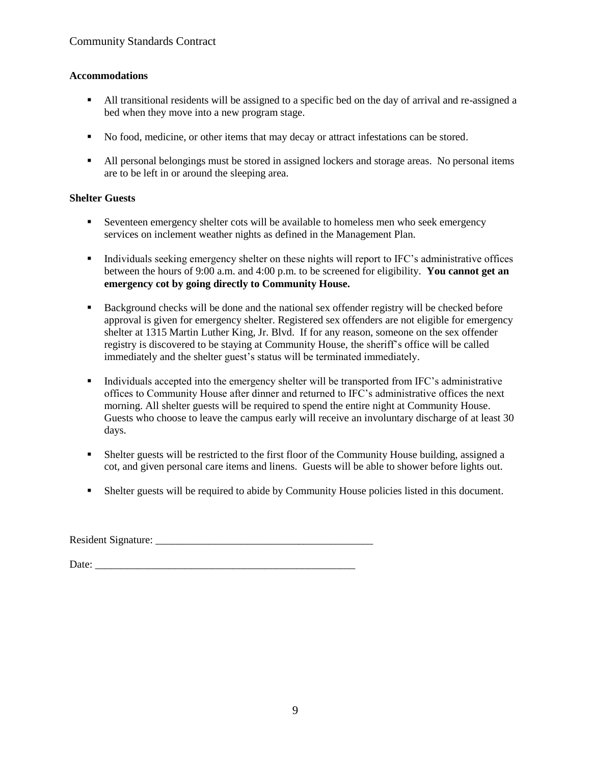#### **Accommodations**

- All transitional residents will be assigned to a specific bed on the day of arrival and re-assigned a bed when they move into a new program stage.
- No food, medicine, or other items that may decay or attract infestations can be stored.
- All personal belongings must be stored in assigned lockers and storage areas. No personal items are to be left in or around the sleeping area.

#### **Shelter Guests**

- Seventeen emergency shelter cots will be available to homeless men who seek emergency services on inclement weather nights as defined in the Management Plan.
- Individuals seeking emergency shelter on these nights will report to IFC's administrative offices between the hours of 9:00 a.m. and 4:00 p.m. to be screened for eligibility. **You cannot get an emergency cot by going directly to Community House.**
- Background checks will be done and the national sex offender registry will be checked before approval is given for emergency shelter. Registered sex offenders are not eligible for emergency shelter at 1315 Martin Luther King, Jr. Blvd. If for any reason, someone on the sex offender registry is discovered to be staying at Community House, the sheriff's office will be called immediately and the shelter guest's status will be terminated immediately.
- Individuals accepted into the emergency shelter will be transported from IFC's administrative offices to Community House after dinner and returned to IFC's administrative offices the next morning. All shelter guests will be required to spend the entire night at Community House. Guests who choose to leave the campus early will receive an involuntary discharge of at least 30 days.
- Shelter guests will be restricted to the first floor of the Community House building, assigned a cot, and given personal care items and linens. Guests will be able to shower before lights out.
- Shelter guests will be required to abide by Community House policies listed in this document.

Resident Signature:

Date: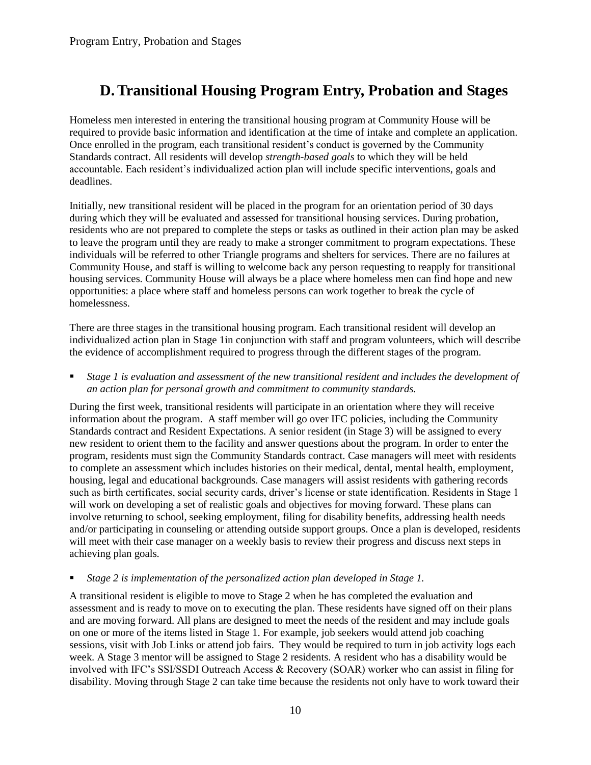## <span id="page-10-0"></span>**D.Transitional Housing Program Entry, Probation and Stages**

Homeless men interested in entering the transitional housing program at Community House will be required to provide basic information and identification at the time of intake and complete an application. Once enrolled in the program, each transitional resident's conduct is governed by the Community Standards contract. All residents will develop *strength-based goals* to which they will be held accountable. Each resident's individualized action plan will include specific interventions, goals and deadlines.

Initially, new transitional resident will be placed in the program for an orientation period of 30 days during which they will be evaluated and assessed for transitional housing services. During probation, residents who are not prepared to complete the steps or tasks as outlined in their action plan may be asked to leave the program until they are ready to make a stronger commitment to program expectations. These individuals will be referred to other Triangle programs and shelters for services. There are no failures at Community House, and staff is willing to welcome back any person requesting to reapply for transitional housing services. Community House will always be a place where homeless men can find hope and new opportunities: a place where staff and homeless persons can work together to break the cycle of homelessness.

There are three stages in the transitional housing program. Each transitional resident will develop an individualized action plan in Stage 1in conjunction with staff and program volunteers, which will describe the evidence of accomplishment required to progress through the different stages of the program.

 *Stage 1 is evaluation and assessment of the new transitional resident and includes the development of an action plan for personal growth and commitment to community standards.* 

During the first week, transitional residents will participate in an orientation where they will receive information about the program. A staff member will go over IFC policies, including the Community Standards contract and Resident Expectations. A senior resident (in Stage 3) will be assigned to every new resident to orient them to the facility and answer questions about the program. In order to enter the program, residents must sign the Community Standards contract. Case managers will meet with residents to complete an assessment which includes histories on their medical, dental, mental health, employment, housing, legal and educational backgrounds. Case managers will assist residents with gathering records such as birth certificates, social security cards, driver's license or state identification. Residents in Stage 1 will work on developing a set of realistic goals and objectives for moving forward. These plans can involve returning to school, seeking employment, filing for disability benefits, addressing health needs and/or participating in counseling or attending outside support groups. Once a plan is developed, residents will meet with their case manager on a weekly basis to review their progress and discuss next steps in achieving plan goals.

#### *Stage 2 is implementation of the personalized action plan developed in Stage 1.*

A transitional resident is eligible to move to Stage 2 when he has completed the evaluation and assessment and is ready to move on to executing the plan. These residents have signed off on their plans and are moving forward. All plans are designed to meet the needs of the resident and may include goals on one or more of the items listed in Stage 1. For example, job seekers would attend job coaching sessions, visit with Job Links or attend job fairs. They would be required to turn in job activity logs each week. A Stage 3 mentor will be assigned to Stage 2 residents. A resident who has a disability would be involved with IFC's SSI/SSDI Outreach Access & Recovery (SOAR) worker who can assist in filing for disability. Moving through Stage 2 can take time because the residents not only have to work toward their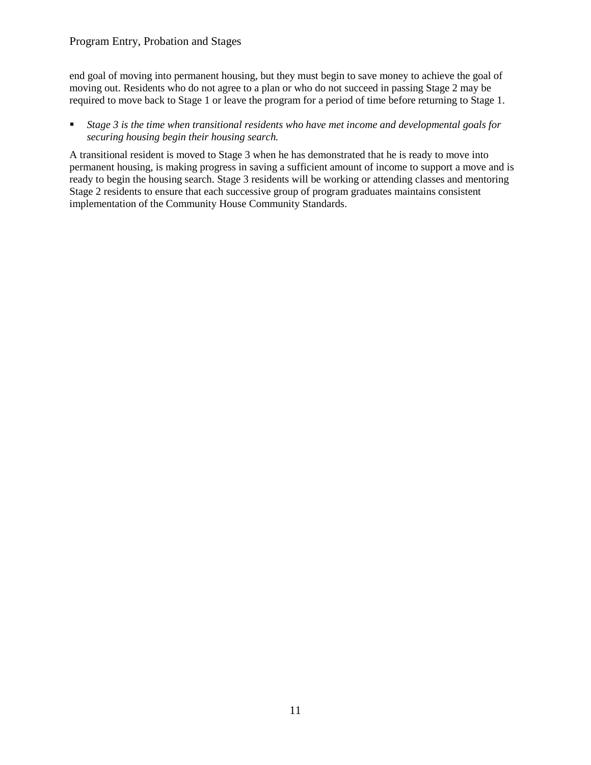#### Program Entry, Probation and Stages

end goal of moving into permanent housing, but they must begin to save money to achieve the goal of moving out. Residents who do not agree to a plan or who do not succeed in passing Stage 2 may be required to move back to Stage 1 or leave the program for a period of time before returning to Stage 1.

#### *Stage 3 is the time when transitional residents who have met income and developmental goals for securing housing begin their housing search.*

A transitional resident is moved to Stage 3 when he has demonstrated that he is ready to move into permanent housing, is making progress in saving a sufficient amount of income to support a move and is ready to begin the housing search. Stage 3 residents will be working or attending classes and mentoring Stage 2 residents to ensure that each successive group of program graduates maintains consistent implementation of the Community House Community Standards.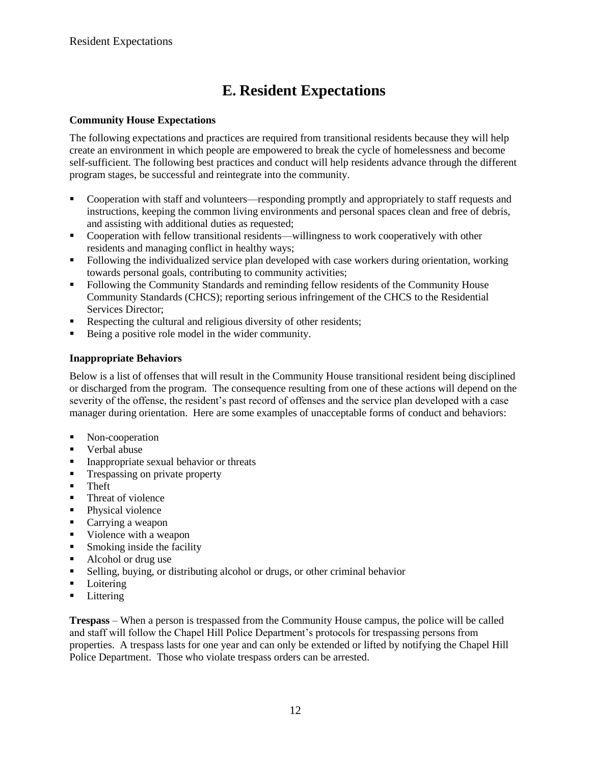# **E. Resident Expectations**

#### <span id="page-12-0"></span>**Community House Expectations**

The following expectations and practices are required from transitional residents because they will help create an environment in which people are empowered to break the cycle of homelessness and become self-sufficient. The following best practices and conduct will help residents advance through the different program stages, be successful and reintegrate into the community.

- Cooperation with staff and volunteers—responding promptly and appropriately to staff requests and instructions, keeping the common living environments and personal spaces clean and free of debris, and assisting with additional duties as requested;
- Cooperation with fellow transitional residents—willingness to work cooperatively with other residents and managing conflict in healthy ways;
- Following the individualized service plan developed with case workers during orientation, working towards personal goals, contributing to community activities;
- Following the Community Standards and reminding fellow residents of the Community House Community Standards (CHCS); reporting serious infringement of the CHCS to the Residential Services Director;
- Respecting the cultural and religious diversity of other residents;
- Being a positive role model in the wider community.

#### **Inappropriate Behaviors**

Below is a list of offenses that will result in the Community House transitional resident being disciplined or discharged from the program. The consequence resulting from one of these actions will depend on the severity of the offense, the resident's past record of offenses and the service plan developed with a case manager during orientation. Here are some examples of unacceptable forms of conduct and behaviors:

- Non-cooperation
- Verbal abuse
- Inappropriate sexual behavior or threats
- **Trespassing on private property**
- **Theft**
- Threat of violence
- Physical violence
- Carrying a weapon
- Violence with a weapon
- **Smoking inside the facility**
- Alcohol or drug use
- Selling, buying, or distributing alcohol or drugs, or other criminal behavior
- Loitering
- **Littering**

**Trespass** – When a person is trespassed from the Community House campus, the police will be called and staff will follow the Chapel Hill Police Department's protocols for trespassing persons from properties. A trespass lasts for one year and can only be extended or lifted by notifying the Chapel Hill Police Department. Those who violate trespass orders can be arrested.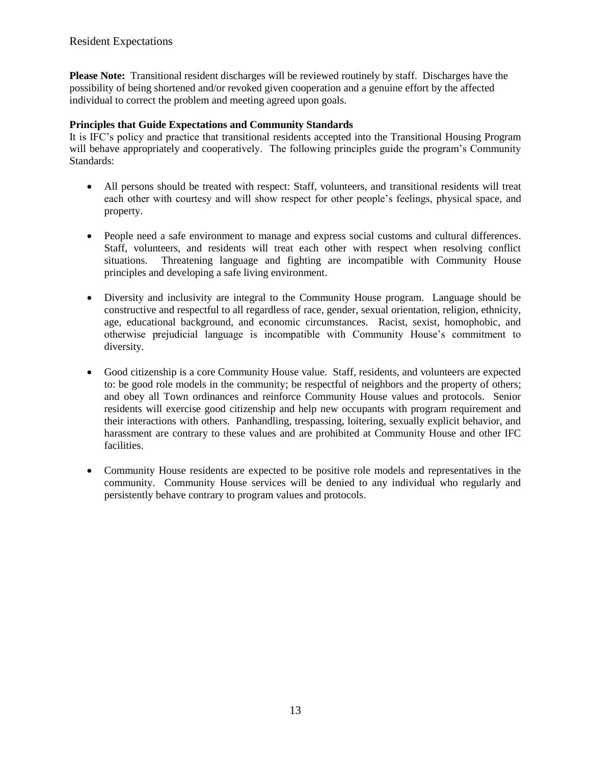**Please Note:** Transitional resident discharges will be reviewed routinely by staff. Discharges have the possibility of being shortened and/or revoked given cooperation and a genuine effort by the affected individual to correct the problem and meeting agreed upon goals.

#### **Principles that Guide Expectations and Community Standards**

It is IFC's policy and practice that transitional residents accepted into the Transitional Housing Program will behave appropriately and cooperatively. The following principles guide the program's Community Standards:

- All persons should be treated with respect: Staff, volunteers, and transitional residents will treat each other with courtesy and will show respect for other people's feelings, physical space, and property.
- People need a safe environment to manage and express social customs and cultural differences. Staff, volunteers, and residents will treat each other with respect when resolving conflict situations. Threatening language and fighting are incompatible with Community House principles and developing a safe living environment.
- Diversity and inclusivity are integral to the Community House program. Language should be constructive and respectful to all regardless of race, gender, sexual orientation, religion, ethnicity, age, educational background, and economic circumstances. Racist, sexist, homophobic, and otherwise prejudicial language is incompatible with Community House's commitment to diversity.
- Good citizenship is a core Community House value. Staff, residents, and volunteers are expected to: be good role models in the community; be respectful of neighbors and the property of others; and obey all Town ordinances and reinforce Community House values and protocols. Senior residents will exercise good citizenship and help new occupants with program requirement and their interactions with others. Panhandling, trespassing, loitering, sexually explicit behavior, and harassment are contrary to these values and are prohibited at Community House and other IFC facilities.
- Community House residents are expected to be positive role models and representatives in the community. Community House services will be denied to any individual who regularly and persistently behave contrary to program values and protocols.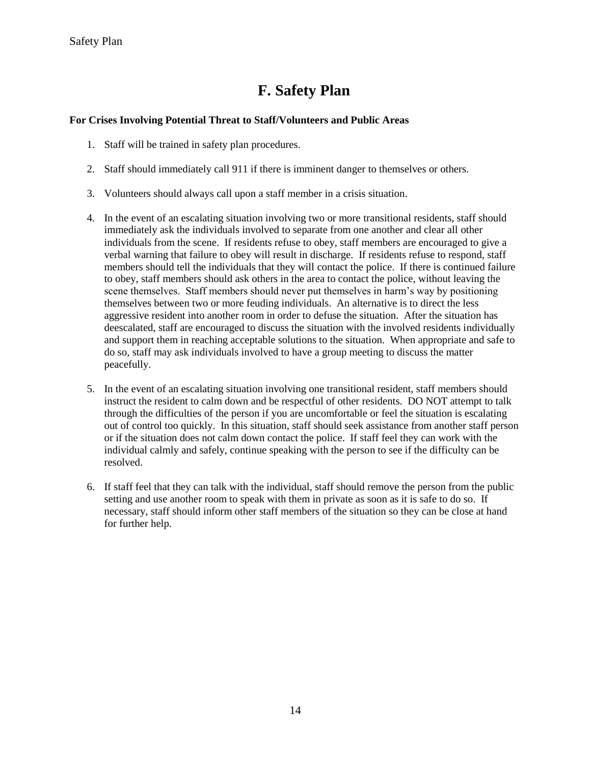# **F. Safety Plan**

#### <span id="page-14-0"></span>**For Crises Involving Potential Threat to Staff/Volunteers and Public Areas**

- 1. Staff will be trained in safety plan procedures.
- 2. Staff should immediately call 911 if there is imminent danger to themselves or others.
- 3. Volunteers should always call upon a staff member in a crisis situation.
- 4. In the event of an escalating situation involving two or more transitional residents, staff should immediately ask the individuals involved to separate from one another and clear all other individuals from the scene. If residents refuse to obey, staff members are encouraged to give a verbal warning that failure to obey will result in discharge. If residents refuse to respond, staff members should tell the individuals that they will contact the police. If there is continued failure to obey, staff members should ask others in the area to contact the police, without leaving the scene themselves. Staff members should never put themselves in harm's way by positioning themselves between two or more feuding individuals. An alternative is to direct the less aggressive resident into another room in order to defuse the situation. After the situation has deescalated, staff are encouraged to discuss the situation with the involved residents individually and support them in reaching acceptable solutions to the situation. When appropriate and safe to do so, staff may ask individuals involved to have a group meeting to discuss the matter peacefully.
- 5. In the event of an escalating situation involving one transitional resident, staff members should instruct the resident to calm down and be respectful of other residents. DO NOT attempt to talk through the difficulties of the person if you are uncomfortable or feel the situation is escalating out of control too quickly. In this situation, staff should seek assistance from another staff person or if the situation does not calm down contact the police. If staff feel they can work with the individual calmly and safely, continue speaking with the person to see if the difficulty can be resolved.
- 6. If staff feel that they can talk with the individual, staff should remove the person from the public setting and use another room to speak with them in private as soon as it is safe to do so. If necessary, staff should inform other staff members of the situation so they can be close at hand for further help.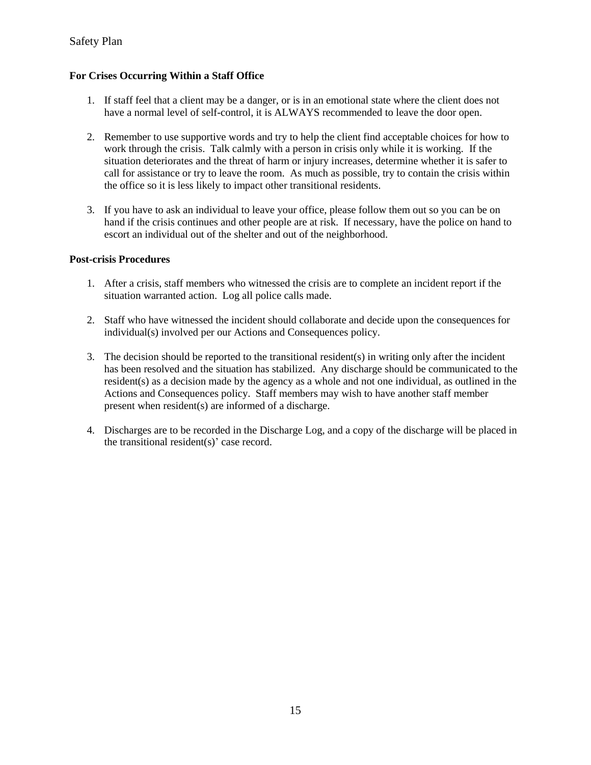#### **For Crises Occurring Within a Staff Office**

- 1. If staff feel that a client may be a danger, or is in an emotional state where the client does not have a normal level of self-control, it is ALWAYS recommended to leave the door open.
- 2. Remember to use supportive words and try to help the client find acceptable choices for how to work through the crisis. Talk calmly with a person in crisis only while it is working. If the situation deteriorates and the threat of harm or injury increases, determine whether it is safer to call for assistance or try to leave the room. As much as possible, try to contain the crisis within the office so it is less likely to impact other transitional residents.
- 3. If you have to ask an individual to leave your office, please follow them out so you can be on hand if the crisis continues and other people are at risk. If necessary, have the police on hand to escort an individual out of the shelter and out of the neighborhood.

#### **Post-crisis Procedures**

- 1. After a crisis, staff members who witnessed the crisis are to complete an incident report if the situation warranted action. Log all police calls made.
- 2. Staff who have witnessed the incident should collaborate and decide upon the consequences for individual(s) involved per our Actions and Consequences policy.
- 3. The decision should be reported to the transitional resident(s) in writing only after the incident has been resolved and the situation has stabilized. Any discharge should be communicated to the resident(s) as a decision made by the agency as a whole and not one individual, as outlined in the Actions and Consequences policy. Staff members may wish to have another staff member present when resident(s) are informed of a discharge.
- 4. Discharges are to be recorded in the Discharge Log, and a copy of the discharge will be placed in the transitional resident(s)' case record.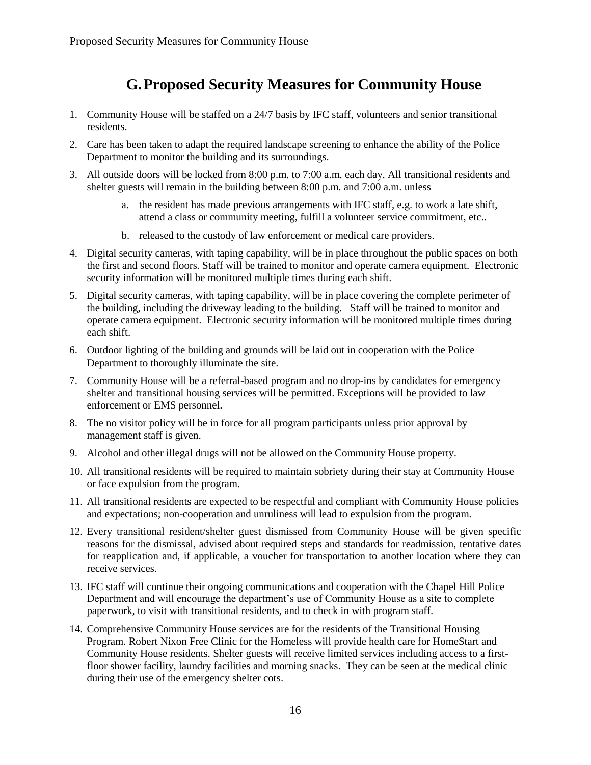## **G.Proposed Security Measures for Community House**

- <span id="page-16-0"></span>1. Community House will be staffed on a 24/7 basis by IFC staff, volunteers and senior transitional residents.
- 2. Care has been taken to adapt the required landscape screening to enhance the ability of the Police Department to monitor the building and its surroundings.
- 3. All outside doors will be locked from 8:00 p.m. to 7:00 a.m. each day. All transitional residents and shelter guests will remain in the building between 8:00 p.m. and 7:00 a.m. unless
	- a. the resident has made previous arrangements with IFC staff, e.g. to work a late shift, attend a class or community meeting, fulfill a volunteer service commitment, etc..
	- b. released to the custody of law enforcement or medical care providers.
- 4. Digital security cameras, with taping capability, will be in place throughout the public spaces on both the first and second floors. Staff will be trained to monitor and operate camera equipment. Electronic security information will be monitored multiple times during each shift.
- 5. Digital security cameras, with taping capability, will be in place covering the complete perimeter of the building, including the driveway leading to the building. Staff will be trained to monitor and operate camera equipment. Electronic security information will be monitored multiple times during each shift.
- 6. Outdoor lighting of the building and grounds will be laid out in cooperation with the Police Department to thoroughly illuminate the site.
- 7. Community House will be a referral-based program and no drop-ins by candidates for emergency shelter and transitional housing services will be permitted. Exceptions will be provided to law enforcement or EMS personnel.
- 8. The no visitor policy will be in force for all program participants unless prior approval by management staff is given.
- 9. Alcohol and other illegal drugs will not be allowed on the Community House property.
- 10. All transitional residents will be required to maintain sobriety during their stay at Community House or face expulsion from the program.
- 11. All transitional residents are expected to be respectful and compliant with Community House policies and expectations; non-cooperation and unruliness will lead to expulsion from the program.
- 12. Every transitional resident/shelter guest dismissed from Community House will be given specific reasons for the dismissal, advised about required steps and standards for readmission, tentative dates for reapplication and, if applicable, a voucher for transportation to another location where they can receive services.
- 13. IFC staff will continue their ongoing communications and cooperation with the Chapel Hill Police Department and will encourage the department's use of Community House as a site to complete paperwork, to visit with transitional residents, and to check in with program staff.
- 14. Comprehensive Community House services are for the residents of the Transitional Housing Program. Robert Nixon Free Clinic for the Homeless will provide health care for HomeStart and Community House residents. Shelter guests will receive limited services including access to a firstfloor shower facility, laundry facilities and morning snacks. They can be seen at the medical clinic during their use of the emergency shelter cots.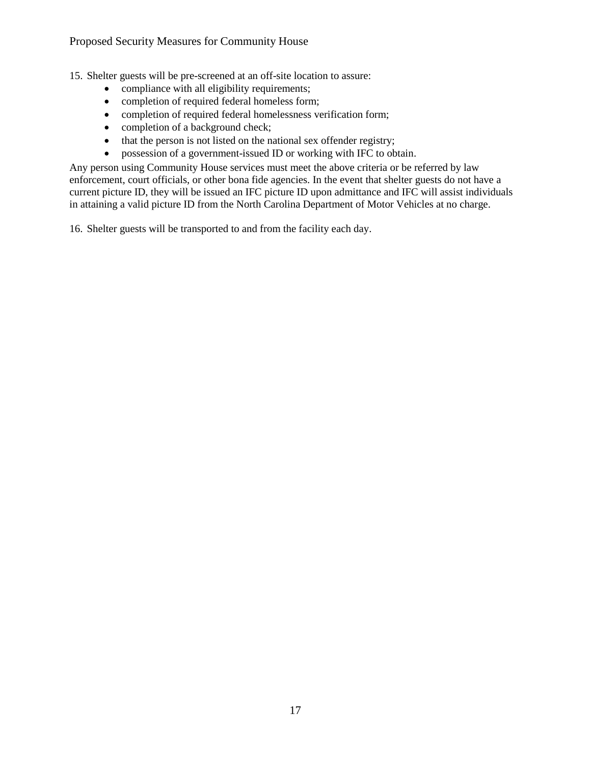15. Shelter guests will be pre-screened at an off-site location to assure:

- compliance with all eligibility requirements;
- completion of required federal homeless form;
- completion of required federal homelessness verification form;
- completion of a background check;
- that the person is not listed on the national sex offender registry;
- possession of a government-issued ID or working with IFC to obtain.

Any person using Community House services must meet the above criteria or be referred by law enforcement, court officials, or other bona fide agencies. In the event that shelter guests do not have a current picture ID, they will be issued an IFC picture ID upon admittance and IFC will assist individuals in attaining a valid picture ID from the North Carolina Department of Motor Vehicles at no charge.

16. Shelter guests will be transported to and from the facility each day.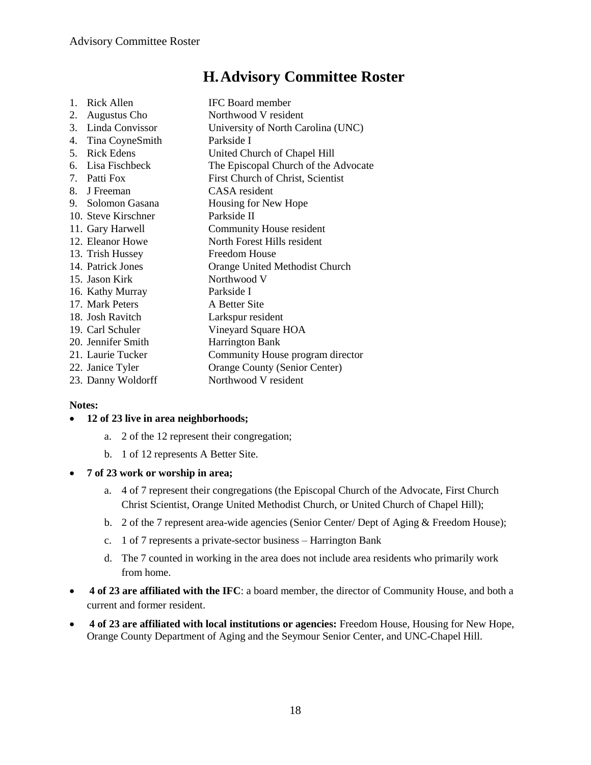## **H.Advisory Committee Roster**

<span id="page-18-0"></span>

| $\mathbf{1}$ . | Rick Allen          | <b>IFC</b> Board member              |
|----------------|---------------------|--------------------------------------|
| 2.             | <b>Augustus Cho</b> | Northwood V resident                 |
| 3.             | Linda Convissor     | University of North Carolina (UNC)   |
|                | 4. Tina CoyneSmith  | Parkside I                           |
|                | 5. Rick Edens       | United Church of Chapel Hill         |
|                | 6. Lisa Fischbeck   | The Episcopal Church of the Advocate |
|                | 7. Patti Fox        | First Church of Christ, Scientist    |
|                | 8. J Freeman        | CASA resident                        |
|                | 9. Solomon Gasana   | Housing for New Hope                 |
|                | 10. Steve Kirschner | Parkside II                          |
|                | 11. Gary Harwell    | Community House resident             |
|                | 12. Eleanor Howe    | North Forest Hills resident          |
|                | 13. Trish Hussey    | Freedom House                        |
|                | 14. Patrick Jones   | Orange United Methodist Church       |
|                | 15. Jason Kirk      | Northwood V                          |
|                | 16. Kathy Murray    | Parkside I                           |
|                | 17. Mark Peters     | A Better Site                        |
|                | 18. Josh Ravitch    | Larkspur resident                    |
|                | 19. Carl Schuler    | Vineyard Square HOA                  |
|                | 20. Jennifer Smith  | <b>Harrington Bank</b>               |
|                | 21. Laurie Tucker   | Community House program director     |
|                | 22. Janice Tyler    | <b>Orange County (Senior Center)</b> |
|                | 23. Danny Woldorff  | Northwood V resident                 |

#### **Notes:**

#### **12 of 23 live in area neighborhoods;**

- a. 2 of the 12 represent their congregation;
- b. 1 of 12 represents A Better Site.
- **7 of 23 work or worship in area;** 
	- a. 4 of 7 represent their congregations (the Episcopal Church of the Advocate, First Church Christ Scientist, Orange United Methodist Church, or United Church of Chapel Hill);
	- b. 2 of the 7 represent area-wide agencies (Senior Center/ Dept of Aging & Freedom House);
	- c. 1 of 7 represents a private-sector business Harrington Bank
	- d. The 7 counted in working in the area does not include area residents who primarily work from home.
- **4 of 23 are affiliated with the IFC**: a board member, the director of Community House, and both a current and former resident.
- **4 of 23 are affiliated with local institutions or agencies:** Freedom House, Housing for New Hope, Orange County Department of Aging and the Seymour Senior Center, and UNC-Chapel Hill.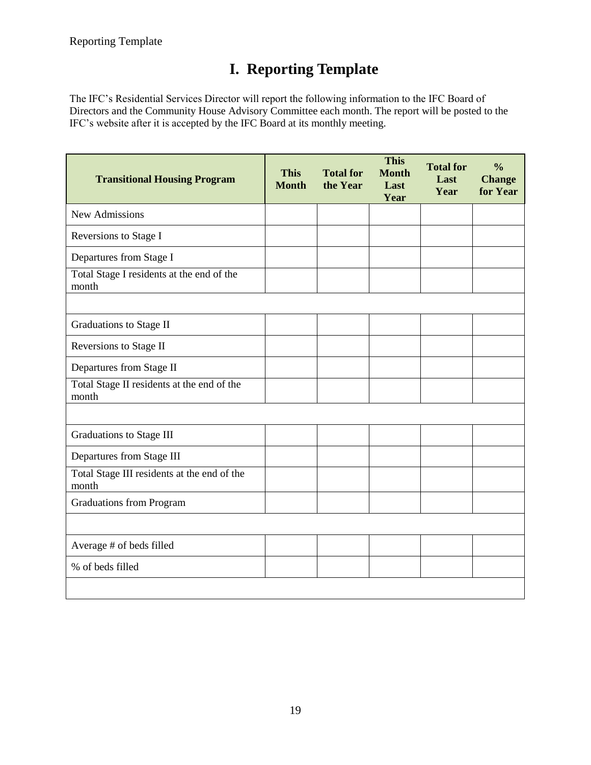# **I. Reporting Template**

<span id="page-19-0"></span>The IFC's Residential Services Director will report the following information to the IFC Board of Directors and the Community House Advisory Committee each month. The report will be posted to the IFC's website after it is accepted by the IFC Board at its monthly meeting.

| <b>Transitional Housing Program</b>                  | <b>This</b><br><b>Month</b> | <b>Total for</b><br>the Year | <b>This</b><br><b>Month</b><br>Last<br>Year | <b>Total for</b><br>Last<br>Year | $\frac{0}{0}$<br><b>Change</b><br>for Year |
|------------------------------------------------------|-----------------------------|------------------------------|---------------------------------------------|----------------------------------|--------------------------------------------|
| New Admissions                                       |                             |                              |                                             |                                  |                                            |
| Reversions to Stage I                                |                             |                              |                                             |                                  |                                            |
| Departures from Stage I                              |                             |                              |                                             |                                  |                                            |
| Total Stage I residents at the end of the<br>month   |                             |                              |                                             |                                  |                                            |
|                                                      |                             |                              |                                             |                                  |                                            |
| Graduations to Stage II                              |                             |                              |                                             |                                  |                                            |
| Reversions to Stage II                               |                             |                              |                                             |                                  |                                            |
| Departures from Stage II                             |                             |                              |                                             |                                  |                                            |
| Total Stage II residents at the end of the<br>month  |                             |                              |                                             |                                  |                                            |
|                                                      |                             |                              |                                             |                                  |                                            |
| Graduations to Stage III                             |                             |                              |                                             |                                  |                                            |
| Departures from Stage III                            |                             |                              |                                             |                                  |                                            |
| Total Stage III residents at the end of the<br>month |                             |                              |                                             |                                  |                                            |
| <b>Graduations from Program</b>                      |                             |                              |                                             |                                  |                                            |
|                                                      |                             |                              |                                             |                                  |                                            |
| Average # of beds filled                             |                             |                              |                                             |                                  |                                            |
| % of beds filled                                     |                             |                              |                                             |                                  |                                            |
|                                                      |                             |                              |                                             |                                  |                                            |